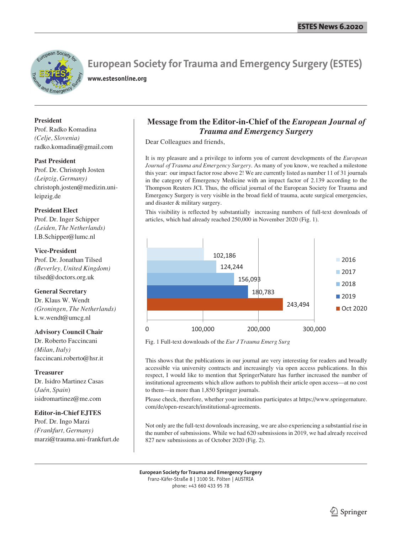

# **European Society for Trauma and Emergency Surgery (ESTES)**

**www.estesonline.org**

**President** Prof. Radko Komadina *(Celje, Slovenia)* radko.komadina@gmail.com

#### **Past President**

Prof. Dr. Christoph Josten *(Leipzig, Germany)* christoph.josten@medizin.unileipzig.de

#### **President Elect**

Prof. Dr. Inger Schipper *(Leiden, The Netherlands)* I.B.Schipper@lumc.nl

#### **Vice-President**

Prof. Dr. Jonathan Tilsed *(Beverley, United Kingdom)* tilsed@doctors.org.uk

#### **General Secretary**

Dr. Klaus W. Wendt *(Groningen, The Netherlands)* k.w.wendt@umcg.nl

#### **Advisory Council Chair**

Dr. Roberto Faccincani *(Milan, Italy)* faccincani.roberto@hsr.it

#### **Treasurer**

Dr. Isidro Martinez Casas (*Jaén, Spain*) isidromartinez@me.com

#### **Editor-in-Chief EJTES**

Prof. Dr. Ingo Marzi *(Frankfurt, Germany)* marzi@trauma.uni-frankfurt.de

### **Message from the Editor-in-Chief of the** *European Journal of Trauma and Emergency Surgery*

Dear Colleagues and friends,

It is my pleasure and a privilege to inform you of current developments of the *European Journal of Trauma and Emergency Surgery*. As many of you know, we reached a milestone this year: our impact factor rose above 2! We are currently listed as number 11 of 31 journals in the category of Emergency Medicine with an impact factor of 2.139 according to the Thompson Reuters JCI. Thus, the official journal of the European Society for Trauma and Emergency Surgery is very visible in the broad field of trauma, acute surgical emergencies, and disaster & military surgery.

This visibility is reflected by substantially increasing numbers of full-text downloads of articles, which had already reached 250,000 in November 2020 (Fig. 1).



Fig. 1 Full-text downloads of the *Eur J Trauma Emerg Surg* 

This shows that the publications in our journal are very interesting for readers and broadly accessible via university contracts and increasingly via open access publications. In this respect, I would like to mention that SpringerNature has further increased the number of institutional agreements which allow authors to publish their article open access—at no cost to them—in more than 1,850 Springer journals.

Please check, therefore, whether your institution participates at https://www.springernature. com/de/open-research/institutional-agreements.

Not only are the full-text downloads increasing, we are also experiencing a substantial rise in the number of submissions. While we had 620 submissions in 2019, we had already received 827 new submissions as of October 2020 (Fig. 2).

**European Society for Trauma and Emergency Surgery** Franz-Käfer-Straße 8 | 3100 St. Pölten | AUSTRIA phone: +43 660 433 95 78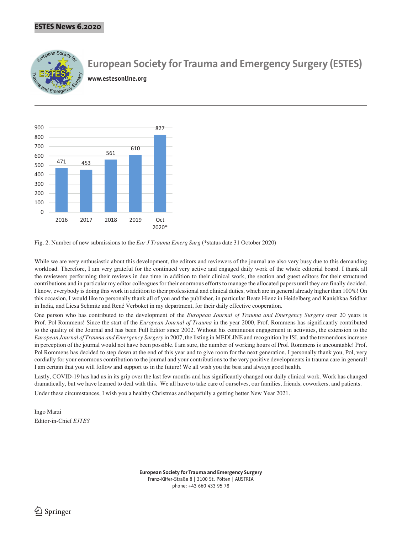

## **European Society for Trauma and Emergency Surgery (ESTES)**

**www.estesonline.org**



Fig. 2. Number of new submissions to the *Eur J Trauma Emerg Surg* (\*status date 31 October 2020)

While we are very enthusiastic about this development, the editors and reviewers of the journal are also very busy due to this demanding workload. Therefore, I am very grateful for the continued very active and engaged daily work of the whole editorial board. I thank all the reviewers performing their reviews in due time in addition to their clinical work, the section and guest editors for their structured contributions and in particular my editor colleagues for their enormous efforts to manage the allocated papers until they are finally decided. I know, everybody is doing this work in addition to their professional and clinical duties, which are in general already higher than 100%! On this occasion, I would like to personally thank all of you and the publisher, in particular Beate Hienz in Heidelberg and Kanishkaa Sridhar in India, and Liesa Schmitz and René Verboket in my department, for their daily effective cooperation.

One person who has contributed to the development of the *European Journal of Trauma and Emergency Surgery* over 20 years is Prof. Pol Rommens! Since the start of the *European Journal of Trauma* in the year 2000, Prof. Rommens has significantly contributed to the quality of the Journal and has been Full Editor since 2002. Without his continuous engagement in activities, the extension to the *European Journal of Trauma and Emergency Surgery* in 2007, the listing in MEDLINE and recognition by ISI, and the tremendous increase in perception of the journal would not have been possible. I am sure, the number of working hours of Prof. Rommens is uncountable! Prof. Pol Rommens has decided to step down at the end of this year and to give room for the next generation. I personally thank you, Pol, very cordially for your enormous contribution to the journal and your contributions to the very positive developments in trauma care in general! I am certain that you will follow and support us in the future! We all wish you the best and always good health.

Lastly, COVID-19 has had us in its grip over the last few months and has significantly changed our daily clinical work. Work has changed dramatically, but we have learned to deal with this. We all have to take care of ourselves, our families, friends, coworkers, and patients.

Under these circumstances, I wish you a healthy Christmas and hopefully a getting better New Year 2021.

Ingo Marzi Editor-in-Chief *EJTES*

> **European Society for Trauma and Emergency Surgery** Franz-Käfer-Straße 8 | 3100 St. Pölten | AUSTRIA phone: +43 660 433 95 78